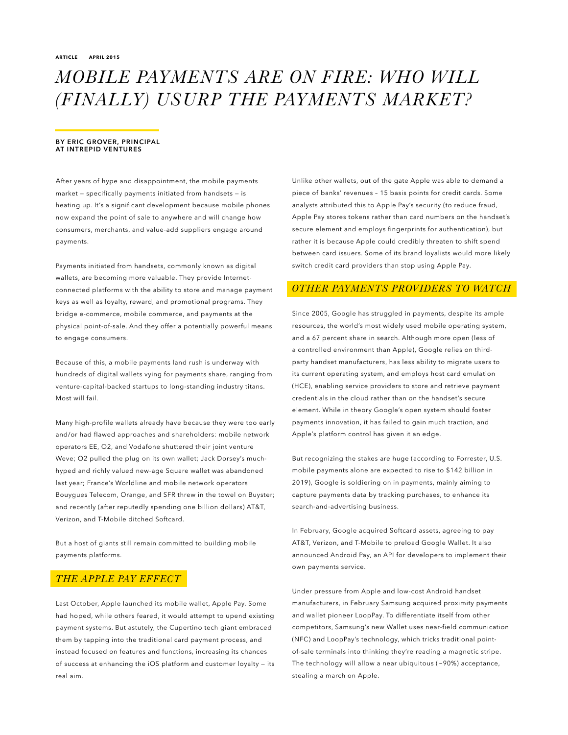# *MOBILE PAYMENTS ARE ON FIRE: WHO WILL (FINALLY) USURP THE PAYMENTS MARKET?*

#### BY ERIC GROVER, PRINCIPAL AT INTREPID VENTURES

After years of hype and disappointment, the mobile payments market — specifically payments initiated from handsets — is heating up. It's a significant development because mobile phones now expand the point of sale to anywhere and will change how consumers, merchants, and value-add suppliers engage around payments.

Payments initiated from handsets, commonly known as digital wallets, are becoming more valuable. They provide Internetconnected platforms with the ability to store and manage payment keys as well as loyalty, reward, and promotional programs. They bridge e-commerce, mobile commerce, and payments at the physical point-of-sale. And they offer a potentially powerful means to engage consumers.

Because of this, a mobile payments land rush is underway with hundreds of digital wallets vying for payments share, ranging from venture-capital-backed startups to long-standing industry titans. Most will fail.

Many high-profile wallets already have because they were too early and/or had flawed approaches and shareholders: mobile network operators EE, O2, and Vodafone shuttered their joint venture Weve; O2 pulled the plug on its own wallet; Jack Dorsey's muchhyped and richly valued new-age Square wallet was abandoned last year; France's Worldline and mobile network operators Bouygues Telecom, Orange, and SFR threw in the towel on Buyster; and recently (after reputedly spending one billion dollars) AT&T, Verizon, and T-Mobile ditched Softcard.

But a host of giants still remain committed to building mobile payments platforms.

## *THE APPLE PAY EFFECT*

Last October, Apple launched its mobile wallet, Apple Pay. Some had hoped, while others feared, it would attempt to upend existing payment systems. But astutely, the Cupertino tech giant embraced them by tapping into the traditional card payment process, and instead focused on features and functions, increasing its chances of success at enhancing the iOS platform and customer loyalty — its real aim.

Unlike other wallets, out of the gate Apple was able to demand a piece of banks' revenues – 15 basis points for credit cards. Some analysts attributed this to Apple Pay's security (to reduce fraud, Apple Pay stores tokens rather than card numbers on the handset's secure element and employs fingerprints for authentication), but rather it is because Apple could credibly threaten to shift spend between card issuers. Some of its brand loyalists would more likely switch credit card providers than stop using Apple Pay.

## *OTHER PAYMENTS PROVIDERS TO WATCH*

Since 2005, Google has struggled in payments, despite its ample resources, the world's most widely used mobile operating system, and a 67 percent share in search. Although more open (less of a controlled environment than Apple), Google relies on thirdparty handset manufacturers, has less ability to migrate users to its current operating system, and employs host card emulation (HCE), enabling service providers to store and retrieve payment credentials in the cloud rather than on the handset's secure element. While in theory Google's open system should foster payments innovation, it has failed to gain much traction, and Apple's platform control has given it an edge.

But recognizing the stakes are huge (according to Forrester, U.S. mobile payments alone are expected to rise to \$142 billion in 2019), Google is soldiering on in payments, mainly aiming to capture payments data by tracking purchases, to enhance its search-and-advertising business.

In February, Google acquired Softcard assets, agreeing to pay AT&T, Verizon, and T-Mobile to preload Google Wallet. It also announced Android Pay, an API for developers to implement their own payments service.

Under pressure from Apple and low-cost Android handset manufacturers, in February Samsung acquired proximity payments and wallet pioneer LoopPay. To differentiate itself from other competitors, Samsung's new Wallet uses near-field communication (NFC) and LoopPay's technology, which tricks traditional pointof-sale terminals into thinking they're reading a magnetic stripe. The technology will allow a near ubiquitous (~90%) acceptance, stealing a march on Apple.